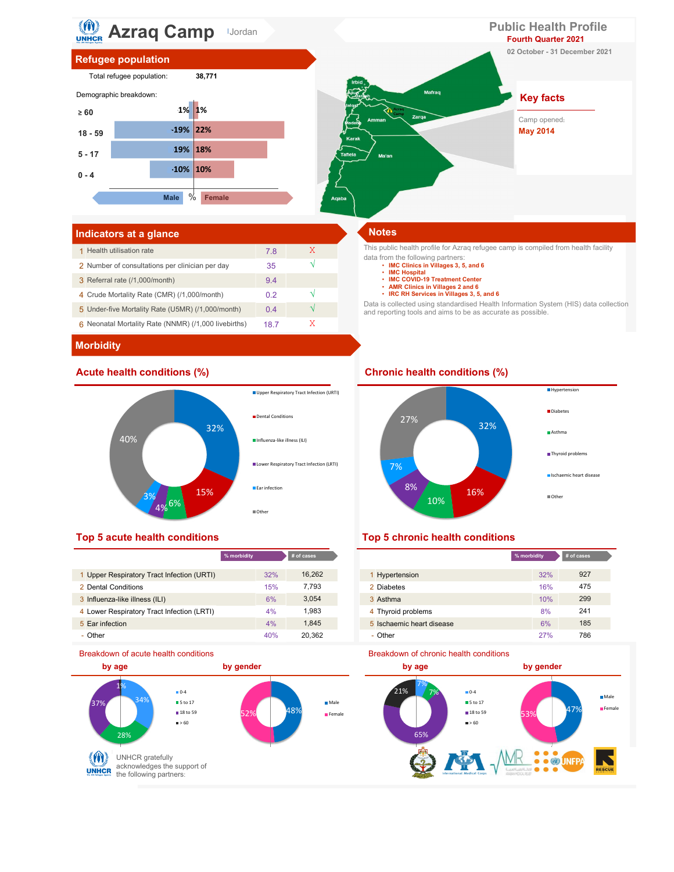

# Indicators at a glance Notes and Security and Security and Security and Security and Security and Security and

| 1 Health utilisation rate                            | 7.8  |  |
|------------------------------------------------------|------|--|
| 2 Number of consultations per clinician per day      | 35   |  |
| 3 Referral rate (/1,000/month)                       | 9.4  |  |
| 4 Crude Mortality Rate (CMR) (/1,000/month)          | 02   |  |
| 5 Under-five Mortality Rate (U5MR) (/1,000/month)    | 04   |  |
| 6 Neonatal Mortality Rate (NNMR) (/1,000 livebirths) | 18 7 |  |

This public health profile for Azraq refugee camp is compiled from health facility data from the following partners: • IMC Clinics in Villages 3, 5, and 6

- 
- IMC Hospital<br>• IMC COVID-19 Treatment Center
- 
- AMR Clinics in Villages 2 and 6 IRC RH Services in Villages 3, 5, and 6

Data is collected using standardised Health Information System (HIS) data collection and reporting tools and aims to be as accurate as possible.

### **Morbidity**



|                                            | % morbidity | $#$ of cases |                           | % morbidity |
|--------------------------------------------|-------------|--------------|---------------------------|-------------|
|                                            |             |              |                           |             |
| 1 Upper Respiratory Tract Infection (URTI) | 32%         | 16,262       | <b>Hypertension</b>       | 32%         |
| 2 Dental Conditions                        | 15%         | 7.793        | 2 Diabetes                | 16%         |
| 3 Influenza-like illness (ILI)             | 6%          | 3,054        | 3 Asthma                  | 10%         |
| 4 Lower Respiratory Tract Infection (LRTI) | 4%          | 1.983        | 4 Thyroid problems        | 8%          |
| 5 Ear infection                            | 4%          | 1.845        | 5 Ischaemic heart disease | 6%          |
| - Other                                    | 40%         | 20.362       | - Other                   | 27%         |





| cases  |                           | % morbidity | # of cases |
|--------|---------------------------|-------------|------------|
| 16,262 | 1 Hypertension            | 32%         | 927        |
| 7,793  | 2 Diabetes                | 16%         | 475        |
| 3,054  | 3 Asthma                  | 10%         | 299        |
| 1,983  | 4 Thyroid problems        | 8%          | 241        |
| 1,845  | 5 Ischaemic heart disease | 6%          | 185        |
| 20,362 | - Other                   | 27%         | 786        |